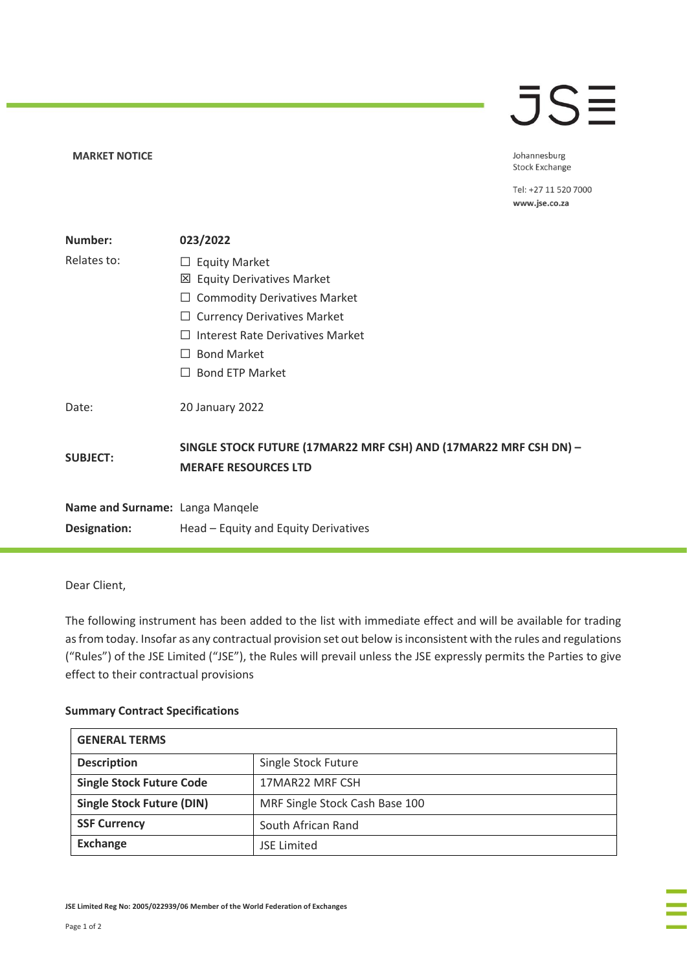## **MARKET NOTICE**

## **JSE**

Johannesburg Stock Exchange

Tel: +27 11 520 7000 www.jse.co.za

| Number:                         | 023/2022                                                                                        |  |
|---------------------------------|-------------------------------------------------------------------------------------------------|--|
| Relates to:                     | <b>Equity Market</b><br>ப                                                                       |  |
|                                 | ⊠ Equity Derivatives Market                                                                     |  |
|                                 | <b>Commodity Derivatives Market</b><br>⊔                                                        |  |
|                                 | <b>Currency Derivatives Market</b>                                                              |  |
|                                 | Interest Rate Derivatives Market<br>$\Box$                                                      |  |
|                                 | <b>Bond Market</b><br>$\perp$                                                                   |  |
|                                 | <b>Bond ETP Market</b><br>$\Box$                                                                |  |
| Date:                           | 20 January 2022                                                                                 |  |
| <b>SUBJECT:</b>                 | SINGLE STOCK FUTURE (17MAR22 MRF CSH) AND (17MAR22 MRF CSH DN) -<br><b>MERAFE RESOURCES LTD</b> |  |
| Name and Surname: Langa Manqele |                                                                                                 |  |
| Designation:                    | Head - Equity and Equity Derivatives                                                            |  |

Dear Client,

The following instrument has been added to the list with immediate effect and will be available for trading as from today. Insofar as any contractual provision set out below is inconsistent with the rules and regulations ("Rules") of the JSE Limited ("JSE"), the Rules will prevail unless the JSE expressly permits the Parties to give effect to their contractual provisions

## **Summary Contract Specifications**

| <b>GENERAL TERMS</b>             |                                |  |  |
|----------------------------------|--------------------------------|--|--|
| <b>Description</b>               | Single Stock Future            |  |  |
| <b>Single Stock Future Code</b>  | 17MAR22 MRF CSH                |  |  |
| <b>Single Stock Future (DIN)</b> | MRF Single Stock Cash Base 100 |  |  |
| <b>SSF Currency</b>              | South African Rand             |  |  |
| <b>Exchange</b>                  | <b>JSE Limited</b>             |  |  |

**JSE Limited Reg No: 2005/022939/06 Member of the World Federation of Exchanges**